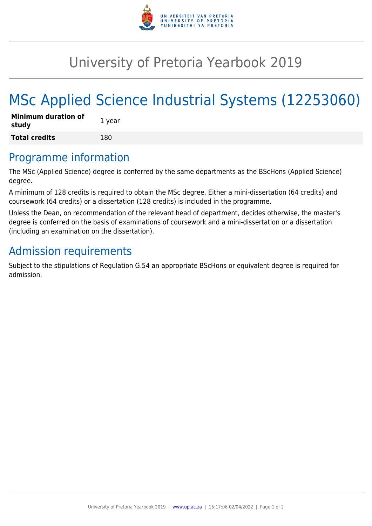

## University of Pretoria Yearbook 2019

# MSc Applied Science Industrial Systems (12253060)

| <b>Minimum duration of</b><br>study | 1 year |
|-------------------------------------|--------|
| <b>Total credits</b>                | 180    |

#### Programme information

The MSc (Applied Science) degree is conferred by the same departments as the BScHons (Applied Science) degree.

A minimum of 128 credits is required to obtain the MSc degree. Either a mini-dissertation (64 credits) and coursework (64 credits) or a dissertation (128 credits) is included in the programme.

Unless the Dean, on recommendation of the relevant head of department, decides otherwise, the master's degree is conferred on the basis of examinations of coursework and a mini-dissertation or a dissertation (including an examination on the dissertation).

### Admission requirements

Subject to the stipulations of Regulation G.54 an appropriate BScHons or equivalent degree is required for admission.